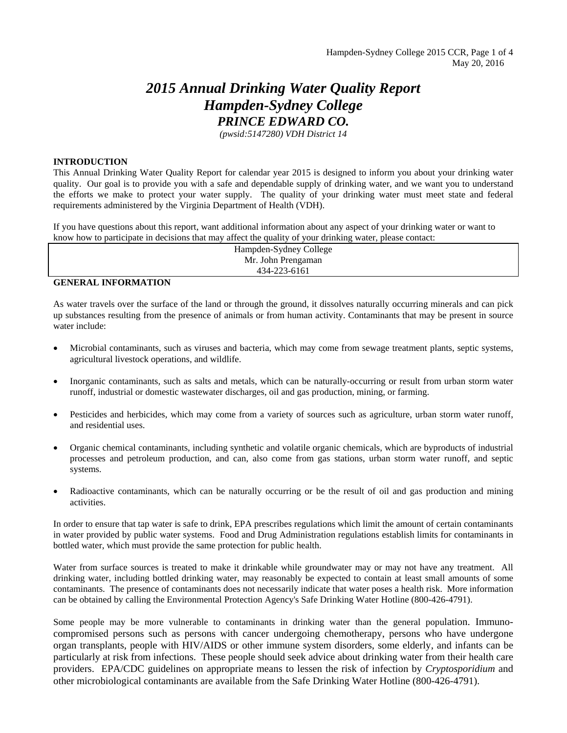# *2015 Annual Drinking Water Quality Report Hampden-Sydney College PRINCE EDWARD CO.*

*(pwsid:5147280) VDH District 14* 

#### **INTRODUCTION**

This Annual Drinking Water Quality Report for calendar year 2015 is designed to inform you about your drinking water quality. Our goal is to provide you with a safe and dependable supply of drinking water, and we want you to understand the efforts we make to protect your water supply. The quality of your drinking water must meet state and federal requirements administered by the Virginia Department of Health (VDH).

If you have questions about this report, want additional information about any aspect of your drinking water or want to know how to participate in decisions that may affect the quality of your drinking water, please contact:

> Hampden-Sydney College Mr. John Prengaman 434-223-6161

#### **GENERAL INFORMATION**

As water travels over the surface of the land or through the ground, it dissolves naturally occurring minerals and can pick up substances resulting from the presence of animals or from human activity. Contaminants that may be present in source water include:

- Microbial contaminants, such as viruses and bacteria, which may come from sewage treatment plants, septic systems, agricultural livestock operations, and wildlife.
- Inorganic contaminants, such as salts and metals, which can be naturally-occurring or result from urban storm water runoff, industrial or domestic wastewater discharges, oil and gas production, mining, or farming.
- Pesticides and herbicides, which may come from a variety of sources such as agriculture, urban storm water runoff, and residential uses.
- Organic chemical contaminants, including synthetic and volatile organic chemicals, which are byproducts of industrial processes and petroleum production, and can, also come from gas stations, urban storm water runoff, and septic systems.
- Radioactive contaminants, which can be naturally occurring or be the result of oil and gas production and mining activities.

In order to ensure that tap water is safe to drink, EPA prescribes regulations which limit the amount of certain contaminants in water provided by public water systems. Food and Drug Administration regulations establish limits for contaminants in bottled water, which must provide the same protection for public health.

Water from surface sources is treated to make it drinkable while groundwater may or may not have any treatment. All drinking water, including bottled drinking water, may reasonably be expected to contain at least small amounts of some contaminants. The presence of contaminants does not necessarily indicate that water poses a health risk. More information can be obtained by calling the Environmental Protection Agency's Safe Drinking Water Hotline (800-426-4791).

Some people may be more vulnerable to contaminants in drinking water than the general population. Immunocompromised persons such as persons with cancer undergoing chemotherapy, persons who have undergone organ transplants, people with HIV/AIDS or other immune system disorders, some elderly, and infants can be particularly at risk from infections. These people should seek advice about drinking water from their health care providers. EPA/CDC guidelines on appropriate means to lessen the risk of infection by *Cryptosporidium* and other microbiological contaminants are available from the Safe Drinking Water Hotline (800-426-4791).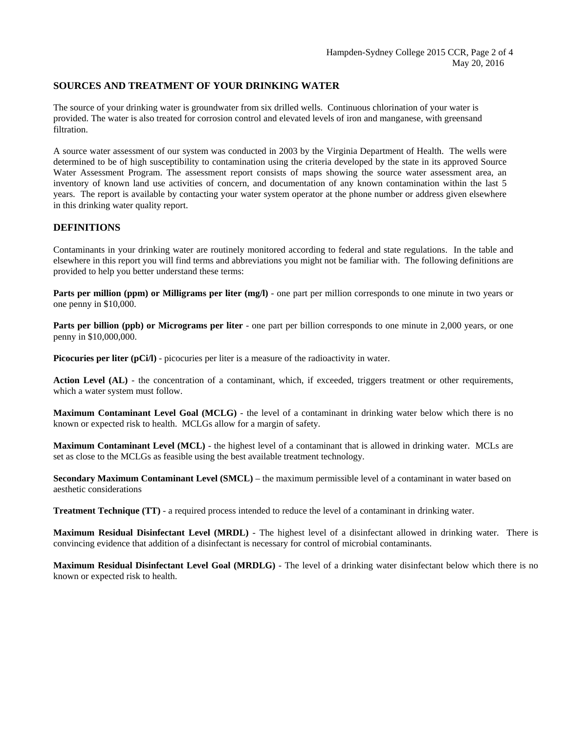#### **SOURCES AND TREATMENT OF YOUR DRINKING WATER**

The source of your drinking water is groundwater from six drilled wells. Continuous chlorination of your water is provided. The water is also treated for corrosion control and elevated levels of iron and manganese, with greensand filtration.

A source water assessment of our system was conducted in 2003 by the Virginia Department of Health. The wells were determined to be of high susceptibility to contamination using the criteria developed by the state in its approved Source Water Assessment Program. The assessment report consists of maps showing the source water assessment area, an inventory of known land use activities of concern, and documentation of any known contamination within the last 5 years. The report is available by contacting your water system operator at the phone number or address given elsewhere in this drinking water quality report.

#### **DEFINITIONS**

Contaminants in your drinking water are routinely monitored according to federal and state regulations. In the table and elsewhere in this report you will find terms and abbreviations you might not be familiar with. The following definitions are provided to help you better understand these terms:

**Parts per million (ppm) or Milligrams per liter (mg/l)** - one part per million corresponds to one minute in two years or one penny in \$10,000.

**Parts per billion (ppb) or Micrograms per liter** - one part per billion corresponds to one minute in 2,000 years, or one penny in \$10,000,000.

**Picocuries per liter (pCi/l)** - picocuries per liter is a measure of the radioactivity in water.

Action Level (AL) - the concentration of a contaminant, which, if exceeded, triggers treatment or other requirements, which a water system must follow.

**Maximum Contaminant Level Goal (MCLG)** *-* the level of a contaminant in drinking water below which there is no known or expected risk to health. MCLGs allow for a margin of safety.

**Maximum Contaminant Level (MCL)** - the highest level of a contaminant that is allowed in drinking water. MCLs are set as close to the MCLGs as feasible using the best available treatment technology.

**Secondary Maximum Contaminant Level (SMCL)** – the maximum permissible level of a contaminant in water based on aesthetic considerations

**Treatment Technique (TT)** - a required process intended to reduce the level of a contaminant in drinking water.

**Maximum Residual Disinfectant Level (MRDL)** - The highest level of a disinfectant allowed in drinking water. There is convincing evidence that addition of a disinfectant is necessary for control of microbial contaminants.

**Maximum Residual Disinfectant Level Goal (MRDLG)** - The level of a drinking water disinfectant below which there is no known or expected risk to health.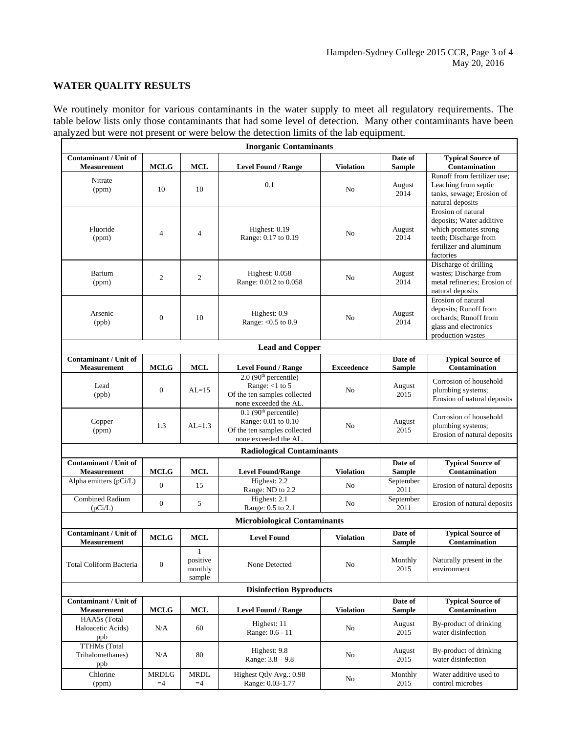## **WATER QUALITY RESULTS**

We routinely monitor for various contaminants in the water supply to meet all regulatory requirements. The table below lists only those contaminants that had some level of detection. Many other contaminants have been analyzed but were not present or were below the detection limits of the lab equipment.

| <b>Inorganic Contaminants</b>                      |                      |                                    |                                                                                                                     |                   |                          |                                                                                                                                                                                                                                                                                                                                                                       |  |  |
|----------------------------------------------------|----------------------|------------------------------------|---------------------------------------------------------------------------------------------------------------------|-------------------|--------------------------|-----------------------------------------------------------------------------------------------------------------------------------------------------------------------------------------------------------------------------------------------------------------------------------------------------------------------------------------------------------------------|--|--|
| <b>Contaminant / Unit of</b><br><b>Measurement</b> | <b>MCLG</b>          | <b>MCL</b>                         | <b>Level Found / Range</b>                                                                                          | <b>Violation</b>  | Date of<br><b>Sample</b> | <b>Typical Source of</b><br><b>Contamination</b>                                                                                                                                                                                                                                                                                                                      |  |  |
| Nitrate<br>(ppm)                                   | 10                   | 10                                 | 0.1                                                                                                                 | No                | August<br>2014           | Runoff from fertilizer use:<br>Leaching from septic<br>tanks, sewage; Erosion of<br>natural deposits                                                                                                                                                                                                                                                                  |  |  |
| Fluoride<br>(ppm)                                  | $\overline{4}$       | $\overline{4}$                     | Highest: $0.19$<br>Range: 0.17 to 0.19                                                                              | No                | August<br>2014           | Erosion of natural<br>deposits; Water additive<br>which promotes strong<br>teeth; Discharge from<br>fertilizer and aluminum<br>factories<br>Discharge of drilling<br>wastes; Discharge from<br>metal refineries; Erosion of<br>natural deposits<br>Erosion of natural<br>deposits; Runoff from<br>orchards; Runoff from<br>glass and electronics<br>production wastes |  |  |
| Barium<br>(ppm)                                    | $\overline{2}$       | $\mathfrak{2}$                     | Highest: $0.058$<br>Range: 0.012 to 0.058                                                                           | No                | August<br>2014           |                                                                                                                                                                                                                                                                                                                                                                       |  |  |
| Arsenic<br>(ppb)                                   | $\mathbf{0}$         | 10                                 | Highest: 0.9<br>Range: < 0.5 to 0.9                                                                                 | N <sub>o</sub>    | August<br>2014           |                                                                                                                                                                                                                                                                                                                                                                       |  |  |
|                                                    |                      |                                    | <b>Lead and Copper</b>                                                                                              |                   |                          |                                                                                                                                                                                                                                                                                                                                                                       |  |  |
| <b>Contaminant / Unit of</b><br><b>Measurement</b> | <b>MCLG</b>          | MCL                                | <b>Level Found / Range</b>                                                                                          | <b>Exceedence</b> | Date of<br><b>Sample</b> | <b>Typical Source of</b><br>Contamination                                                                                                                                                                                                                                                                                                                             |  |  |
| Lead<br>(ppb)                                      | $\mathbf{0}$         | $AL=15$                            | $2.0$ (90 <sup>th</sup> percentile)<br>Range: $<$ 1 to 5<br>Of the ten samples collected<br>none exceeded the AL.   | No                | August<br>2015           | Corrosion of household<br>plumbing systems;<br>Erosion of natural deposits                                                                                                                                                                                                                                                                                            |  |  |
| Copper<br>(ppm)                                    | 1.3                  | $AL=1.3$                           | $0.1$ (90 <sup>th</sup> percentile)<br>Range: 0.01 to 0.10<br>Of the ten samples collected<br>none exceeded the AL. | N <sub>o</sub>    | August<br>2015           | Corrosion of household<br>plumbing systems;<br>Erosion of natural deposits                                                                                                                                                                                                                                                                                            |  |  |
|                                                    |                      |                                    | <b>Radiological Contaminants</b>                                                                                    |                   |                          |                                                                                                                                                                                                                                                                                                                                                                       |  |  |
| <b>Contaminant / Unit of</b><br><b>Measurement</b> | <b>MCLG</b>          | <b>MCL</b>                         | <b>Level Found/Range</b>                                                                                            | <b>Violation</b>  | Date of<br><b>Sample</b> | <b>Typical Source of</b><br><b>Contamination</b>                                                                                                                                                                                                                                                                                                                      |  |  |
| Alpha emitters (pCi/L)                             | $\mathbf{0}$         | 15                                 | Highest: 2.2<br>Range: ND to 2.2                                                                                    | N <sub>0</sub>    | September<br>2011        | Erosion of natural deposits                                                                                                                                                                                                                                                                                                                                           |  |  |
| <b>Combined Radium</b><br>(pCi/L)                  | $\boldsymbol{0}$     | 5                                  | Highest: 2.1<br>Range: 0.5 to 2.1                                                                                   | N <sub>0</sub>    | September<br>2011        | Erosion of natural deposits                                                                                                                                                                                                                                                                                                                                           |  |  |
|                                                    |                      |                                    | <b>Microbiological Contaminants</b>                                                                                 |                   |                          |                                                                                                                                                                                                                                                                                                                                                                       |  |  |
| <b>Contaminant / Unit of</b><br><b>Measurement</b> | <b>MCLG</b>          | <b>MCL</b>                         | <b>Level Found</b>                                                                                                  | <b>Violation</b>  | Date of<br><b>Sample</b> | <b>Typical Source of</b><br><b>Contamination</b>                                                                                                                                                                                                                                                                                                                      |  |  |
| Total Coliform Bacteria                            | $\boldsymbol{0}$     | 1<br>positive<br>monthly<br>sample | None Detected                                                                                                       | No                | Monthly<br>2015          | Naturally present in the<br>environment                                                                                                                                                                                                                                                                                                                               |  |  |
|                                                    |                      |                                    | <b>Disinfection Byproducts</b>                                                                                      |                   |                          |                                                                                                                                                                                                                                                                                                                                                                       |  |  |
| Contaminant / Unit of<br><b>Measurement</b>        | <b>MCLG</b>          | MCL                                | <b>Level Found / Range</b>                                                                                          | <b>Violation</b>  | Date of<br><b>Sample</b> | <b>Typical Source of</b><br>Contamination                                                                                                                                                                                                                                                                                                                             |  |  |
| HAA5s (Total<br>Haloacetic Acids)<br>ppb           | N/A                  | 60                                 | Highest: 11<br>Range: 0.6 - 11                                                                                      | N <sub>0</sub>    | August<br>2015           | By-product of drinking<br>water disinfection                                                                                                                                                                                                                                                                                                                          |  |  |
| <b>TTHMs</b> (Total<br>Trihalomethanes)<br>ppb     | N/A                  | 80                                 | Highest: 9.8<br>Range: 3.8 - 9.8                                                                                    | No                | August<br>2015           | By-product of drinking<br>water disinfection                                                                                                                                                                                                                                                                                                                          |  |  |
| Chlorine<br>(ppm)                                  | <b>MRDLG</b><br>$=4$ | <b>MRDL</b><br>$=4$                | Highest Qtly Avg.: 0.98<br>Range: 0.03-1.77                                                                         | No                | Monthly<br>2015          | Water additive used to<br>control microbes                                                                                                                                                                                                                                                                                                                            |  |  |